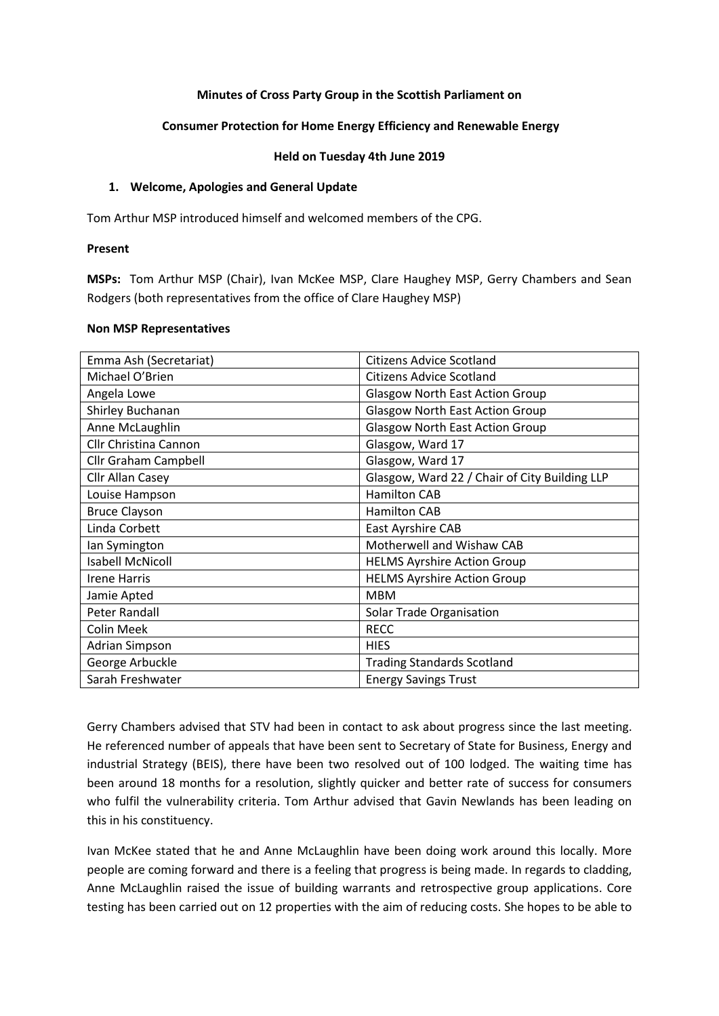### **Minutes of Cross Party Group in the Scottish Parliament on**

### **Consumer Protection for Home Energy Efficiency and Renewable Energy**

#### **Held on Tuesday 4th June 2019**

### **1. Welcome, Apologies and General Update**

Tom Arthur MSP introduced himself and welcomed members of the CPG.

#### **Present**

**MSPs:** Tom Arthur MSP (Chair), Ivan McKee MSP, Clare Haughey MSP, Gerry Chambers and Sean Rodgers (both representatives from the office of Clare Haughey MSP)

#### **Non MSP Representatives**

| Emma Ash (Secretariat)  | <b>Citizens Advice Scotland</b>               |
|-------------------------|-----------------------------------------------|
| Michael O'Brien         | <b>Citizens Advice Scotland</b>               |
| Angela Lowe             | <b>Glasgow North East Action Group</b>        |
| Shirley Buchanan        | <b>Glasgow North East Action Group</b>        |
| Anne McLaughlin         | <b>Glasgow North East Action Group</b>        |
| Cllr Christina Cannon   | Glasgow, Ward 17                              |
| Cllr Graham Campbell    | Glasgow, Ward 17                              |
| Cllr Allan Casey        | Glasgow, Ward 22 / Chair of City Building LLP |
| Louise Hampson          | <b>Hamilton CAB</b>                           |
| <b>Bruce Clayson</b>    | <b>Hamilton CAB</b>                           |
| Linda Corbett           | East Ayrshire CAB                             |
| lan Symington           | Motherwell and Wishaw CAB                     |
| <b>Isabell McNicoll</b> | <b>HELMS Ayrshire Action Group</b>            |
| <b>Irene Harris</b>     | <b>HELMS Ayrshire Action Group</b>            |
| Jamie Apted             | <b>MBM</b>                                    |
| Peter Randall           | Solar Trade Organisation                      |
| <b>Colin Meek</b>       | <b>RECC</b>                                   |
| <b>Adrian Simpson</b>   | <b>HIES</b>                                   |
| George Arbuckle         | <b>Trading Standards Scotland</b>             |
| Sarah Freshwater        | <b>Energy Savings Trust</b>                   |

Gerry Chambers advised that STV had been in contact to ask about progress since the last meeting. He referenced number of appeals that have been sent to Secretary of State for Business, Energy and industrial Strategy (BEIS), there have been two resolved out of 100 lodged. The waiting time has been around 18 months for a resolution, slightly quicker and better rate of success for consumers who fulfil the vulnerability criteria. Tom Arthur advised that Gavin Newlands has been leading on this in his constituency.

Ivan McKee stated that he and Anne McLaughlin have been doing work around this locally. More people are coming forward and there is a feeling that progress is being made. In regards to cladding, Anne McLaughlin raised the issue of building warrants and retrospective group applications. Core testing has been carried out on 12 properties with the aim of reducing costs. She hopes to be able to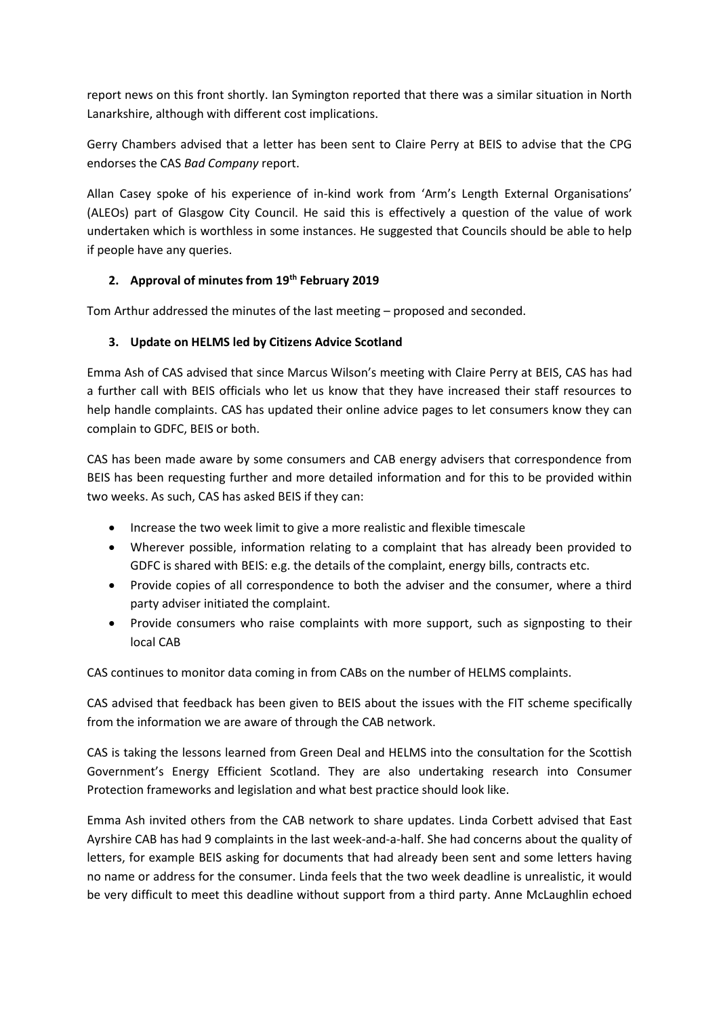report news on this front shortly. Ian Symington reported that there was a similar situation in North Lanarkshire, although with different cost implications.

Gerry Chambers advised that a letter has been sent to Claire Perry at BEIS to advise that the CPG endorses the CAS *Bad Company* report.

Allan Casey spoke of his experience of in-kind work from 'Arm's Length External Organisations' (ALEOs) part of Glasgow City Council. He said this is effectively a question of the value of work undertaken which is worthless in some instances. He suggested that Councils should be able to help if people have any queries.

# **2. Approval of minutes from 19th February 2019**

Tom Arthur addressed the minutes of the last meeting – proposed and seconded.

# **3. Update on HELMS led by Citizens Advice Scotland**

Emma Ash of CAS advised that since Marcus Wilson's meeting with Claire Perry at BEIS, CAS has had a further call with BEIS officials who let us know that they have increased their staff resources to help handle complaints. CAS has updated their online advice pages to let consumers know they can complain to GDFC, BEIS or both.

CAS has been made aware by some consumers and CAB energy advisers that correspondence from BEIS has been requesting further and more detailed information and for this to be provided within two weeks. As such, CAS has asked BEIS if they can:

- Increase the two week limit to give a more realistic and flexible timescale
- Wherever possible, information relating to a complaint that has already been provided to GDFC is shared with BEIS: e.g. the details of the complaint, energy bills, contracts etc.
- Provide copies of all correspondence to both the adviser and the consumer, where a third party adviser initiated the complaint.
- Provide consumers who raise complaints with more support, such as signposting to their local CAB

CAS continues to monitor data coming in from CABs on the number of HELMS complaints.

CAS advised that feedback has been given to BEIS about the issues with the FIT scheme specifically from the information we are aware of through the CAB network.

CAS is taking the lessons learned from Green Deal and HELMS into the consultation for the Scottish Government's Energy Efficient Scotland. They are also undertaking research into Consumer Protection frameworks and legislation and what best practice should look like.

Emma Ash invited others from the CAB network to share updates. Linda Corbett advised that East Ayrshire CAB has had 9 complaints in the last week-and-a-half. She had concerns about the quality of letters, for example BEIS asking for documents that had already been sent and some letters having no name or address for the consumer. Linda feels that the two week deadline is unrealistic, it would be very difficult to meet this deadline without support from a third party. Anne McLaughlin echoed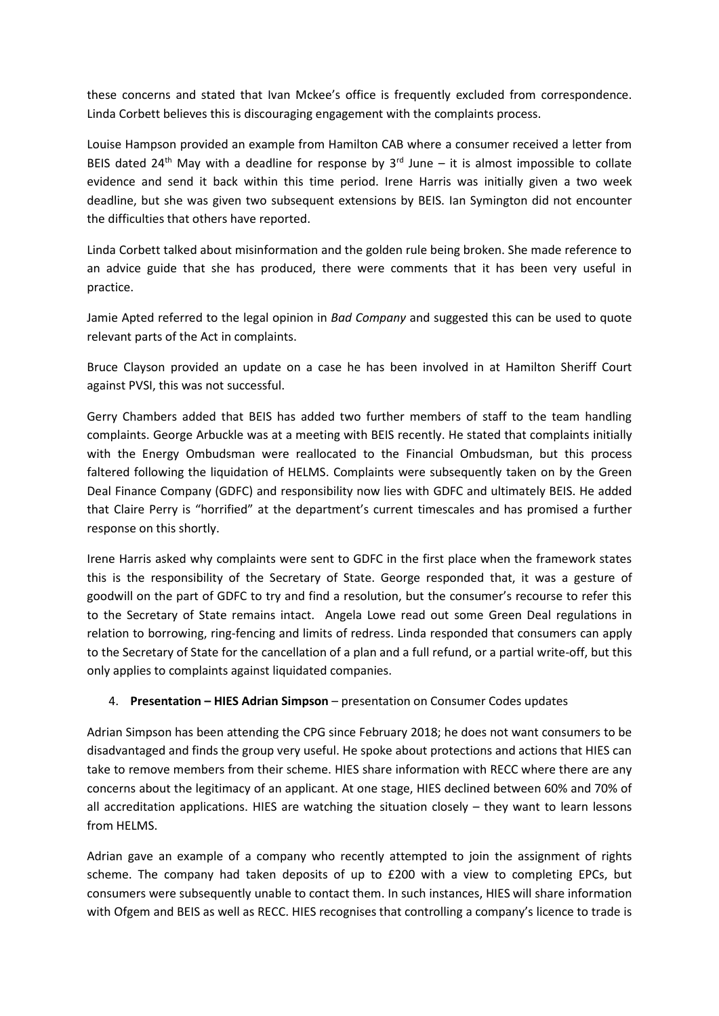these concerns and stated that Ivan Mckee's office is frequently excluded from correspondence. Linda Corbett believes this is discouraging engagement with the complaints process.

Louise Hampson provided an example from Hamilton CAB where a consumer received a letter from BEIS dated 24<sup>th</sup> May with a deadline for response by  $3<sup>rd</sup>$  June – it is almost impossible to collate evidence and send it back within this time period. Irene Harris was initially given a two week deadline, but she was given two subsequent extensions by BEIS. Ian Symington did not encounter the difficulties that others have reported.

Linda Corbett talked about misinformation and the golden rule being broken. She made reference to an advice guide that she has produced, there were comments that it has been very useful in practice.

Jamie Apted referred to the legal opinion in *Bad Company* and suggested this can be used to quote relevant parts of the Act in complaints.

Bruce Clayson provided an update on a case he has been involved in at Hamilton Sheriff Court against PVSI, this was not successful.

Gerry Chambers added that BEIS has added two further members of staff to the team handling complaints. George Arbuckle was at a meeting with BEIS recently. He stated that complaints initially with the Energy Ombudsman were reallocated to the Financial Ombudsman, but this process faltered following the liquidation of HELMS. Complaints were subsequently taken on by the Green Deal Finance Company (GDFC) and responsibility now lies with GDFC and ultimately BEIS. He added that Claire Perry is "horrified" at the department's current timescales and has promised a further response on this shortly.

Irene Harris asked why complaints were sent to GDFC in the first place when the framework states this is the responsibility of the Secretary of State. George responded that, it was a gesture of goodwill on the part of GDFC to try and find a resolution, but the consumer's recourse to refer this to the Secretary of State remains intact. Angela Lowe read out some Green Deal regulations in relation to borrowing, ring-fencing and limits of redress. Linda responded that consumers can apply to the Secretary of State for the cancellation of a plan and a full refund, or a partial write-off, but this only applies to complaints against liquidated companies.

## 4. **Presentation – HIES Adrian Simpson** – presentation on Consumer Codes updates

Adrian Simpson has been attending the CPG since February 2018; he does not want consumers to be disadvantaged and finds the group very useful. He spoke about protections and actions that HIES can take to remove members from their scheme. HIES share information with RECC where there are any concerns about the legitimacy of an applicant. At one stage, HIES declined between 60% and 70% of all accreditation applications. HIES are watching the situation closely – they want to learn lessons from HELMS.

Adrian gave an example of a company who recently attempted to join the assignment of rights scheme. The company had taken deposits of up to £200 with a view to completing EPCs, but consumers were subsequently unable to contact them. In such instances, HIES will share information with Ofgem and BEIS as well as RECC. HIES recognises that controlling a company's licence to trade is